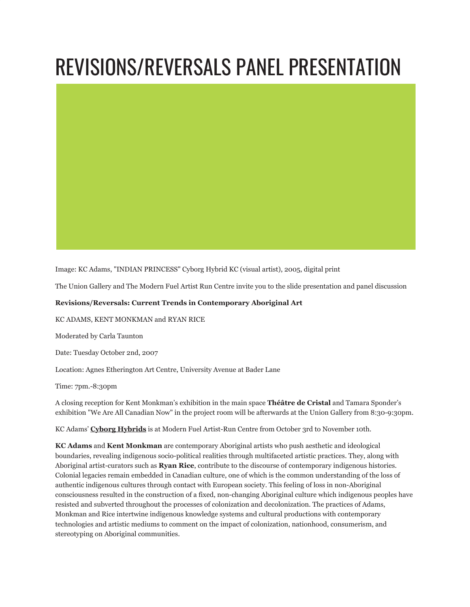



Image: KC Adams, "INDIAN PRINCESS" Cyborg Hybrid KC (visual artist), 2005, digital print

The Union Gallery and The Modern Fuel Artist Run Centre invite you to the slide presentation and panel discussion

## **Revisions/Reversals: Current Trends in Contemporary Aboriginal Art**

KC ADAMS, KENT MONKMAN and RYAN RICE

Moderated by Carla Taunton

Date: Tuesday October 2nd, 2007

Location: Agnes Etherington Art Centre, University Avenue at Bader Lane

Time: 7pm.-8:30pm

A closing reception for Kent Monkman's exhibition in the main space **Théâtre de Cristal** and Tamara Sponder's exhibition "We Are All Canadian Now" in the project room will be afterwards at the Union Gallery from 8:30-9:30pm.

KC Adams' **[Cyborg Hybrids](http://www.modernfuel.org/art/programming/event/118)** is at Modern Fuel Artist-Run Centre from October 3rd to November 10th.

**KC Adams** and **Kent Monkman** are contemporary Aboriginal artists who push aesthetic and ideological boundaries, revealing indigenous socio-political realities through multifaceted artistic practices. They, along with Aboriginal artist-curators such as **Ryan Rice**, contribute to the discourse of contemporary indigenous histories. Colonial legacies remain embedded in Canadian culture, one of which is the common understanding of the loss of authentic indigenous cultures through contact with European society. This feeling of loss in non-Aboriginal consciousness resulted in the construction of a fixed, non-changing Aboriginal culture which indigenous peoples have resisted and subverted throughout the processes of colonization and decolonization. The practices of Adams, Monkman and Rice intertwine indigenous knowledge systems and cultural productions with contemporary technologies and artistic mediums to comment on the impact of colonization, nationhood, consumerism, and stereotyping on Aboriginal communities.